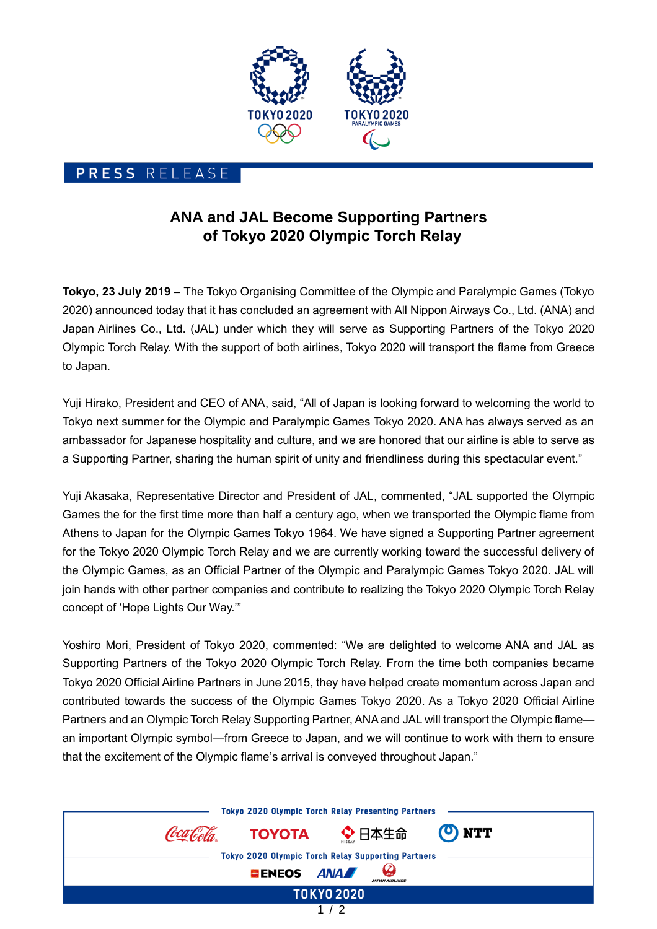

## PRESS RELEASE

## **ANA and JAL Become Supporting Partners of Tokyo 2020 Olympic Torch Relay**

**Tokyo, 23 July 2019 –** The Tokyo Organising Committee of the Olympic and Paralympic Games (Tokyo 2020) announced today that it has concluded an agreement with All Nippon Airways Co., Ltd. (ANA) and Japan Airlines Co., Ltd. (JAL) under which they will serve as Supporting Partners of the Tokyo 2020 Olympic Torch Relay. With the support of both airlines, Tokyo 2020 will transport the flame from Greece to Japan.

Yuji Hirako, President and CEO of ANA, said, "All of Japan is looking forward to welcoming the world to Tokyo next summer for the Olympic and Paralympic Games Tokyo 2020. ANA has always served as an ambassador for Japanese hospitality and culture, and we are honored that our airline is able to serve as a Supporting Partner, sharing the human spirit of unity and friendliness during this spectacular event."

Yuji Akasaka, Representative Director and President of JAL, commented, "JAL supported the Olympic Games the for the first time more than half a century ago, when we transported the Olympic flame from Athens to Japan for the Olympic Games Tokyo 1964. We have signed a Supporting Partner agreement for the Tokyo 2020 Olympic Torch Relay and we are currently working toward the successful delivery of the Olympic Games, as an Official Partner of the Olympic and Paralympic Games Tokyo 2020. JAL will join hands with other partner companies and contribute to realizing the Tokyo 2020 Olympic Torch Relay concept of 'Hope Lights Our Way.'"

Yoshiro Mori, President of Tokyo 2020, commented: "We are delighted to welcome ANA and JAL as Supporting Partners of the Tokyo 2020 Olympic Torch Relay. From the time both companies became Tokyo 2020 Official Airline Partners in June 2015, they have helped create momentum across Japan and contributed towards the success of the Olympic Games Tokyo 2020. As a Tokyo 2020 Official Airline Partners and an Olympic Torch Relay Supporting Partner, ANA and JAL will transport the Olympic flame an important Olympic symbol—from Greece to Japan, and we will continue to work with them to ensure that the excitement of the Olympic flame's arrival is conveyed throughout Japan."